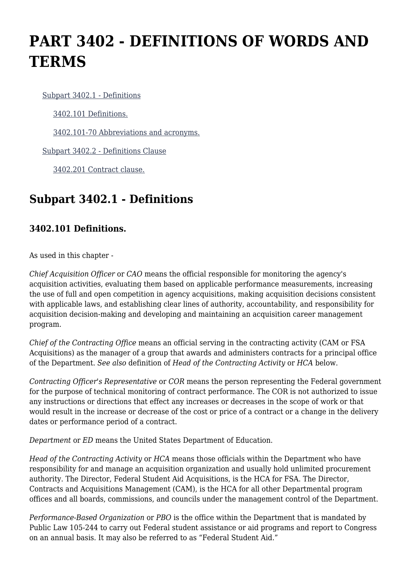# **PART 3402 - DEFINITIONS OF WORDS AND TERMS**

[Subpart 3402.1 - Definitions](https://origin-www.acquisition.gov/%5Brp:link:edar-part-3402%5D#Subpart_3402_1_T48_7031631)

[3402.101 Definitions.](https://origin-www.acquisition.gov/%5Brp:link:edar-part-3402%5D#Section_3402_101_T48_703163111)

[3402.101-70 Abbreviations and acronyms.](https://origin-www.acquisition.gov/%5Brp:link:edar-part-3402%5D#Section_3402_101_70_T48_703163112)

[Subpart 3402.2 - Definitions Clause](https://origin-www.acquisition.gov/%5Brp:link:edar-part-3402%5D#Subpart_3402_2_T48_7031632)

[3402.201 Contract clause.](https://origin-www.acquisition.gov/%5Brp:link:edar-part-3402%5D#Section_3402_201_T48_703163211)

### **Subpart 3402.1 - Definitions**

#### **3402.101 Definitions.**

As used in this chapter -

*Chief Acquisition Officer* or *CAO* means the official responsible for monitoring the agency's acquisition activities, evaluating them based on applicable performance measurements, increasing the use of full and open competition in agency acquisitions, making acquisition decisions consistent with applicable laws, and establishing clear lines of authority, accountability, and responsibility for acquisition decision-making and developing and maintaining an acquisition career management program.

*Chief of the Contracting Office* means an official serving in the contracting activity (CAM or FSA Acquisitions) as the manager of a group that awards and administers contracts for a principal office of the Department. *See also* definition of *Head of the Contracting Activity* or *HCA* below.

*Contracting Officer's Representative* or *COR* means the person representing the Federal government for the purpose of technical monitoring of contract performance. The COR is not authorized to issue any instructions or directions that effect any increases or decreases in the scope of work or that would result in the increase or decrease of the cost or price of a contract or a change in the delivery dates or performance period of a contract.

*Department* or *ED* means the United States Department of Education.

*Head of the Contracting Activity* or *HCA* means those officials within the Department who have responsibility for and manage an acquisition organization and usually hold unlimited procurement authority. The Director, Federal Student Aid Acquisitions, is the HCA for FSA. The Director, Contracts and Acquisitions Management (CAM), is the HCA for all other Departmental program offices and all boards, commissions, and councils under the management control of the Department.

*Performance-Based Organization* or *PBO* is the office within the Department that is mandated by Public Law 105-244 to carry out Federal student assistance or aid programs and report to Congress on an annual basis. It may also be referred to as "Federal Student Aid."